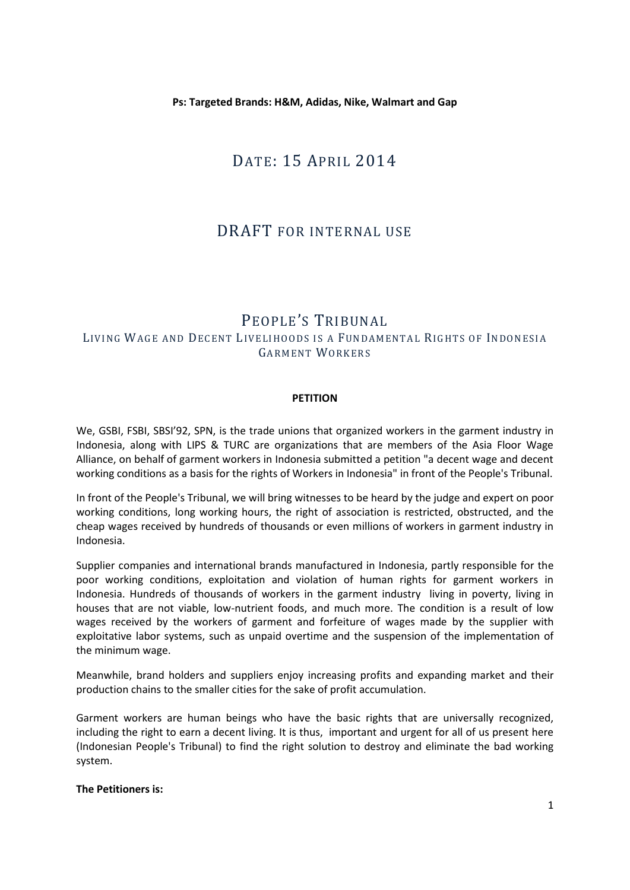**Ps: Targeted Brands: H&M, Adidas, Nike, Walmart and Gap**

# DATE: 15 APRIL 2014

## DRAFT FOR INTERNAL USE

### PEOPLE'S TRIBUNAL LIVING WAGE AND DECENT LIVELIHOODS IS A FUNDAMENTAL RIGHTS OF INDONESIA GARMENT WORKERS

### **PETITION**

We, GSBI, FSBI, SBSI'92, SPN, is the trade unions that organized workers in the garment industry in Indonesia, along with LIPS & TURC are organizations that are members of the Asia Floor Wage Alliance, on behalf of garment workers in Indonesia submitted a petition "a decent wage and decent working conditions as a basis for the rights of Workers in Indonesia" in front of the People's Tribunal.

In front of the People's Tribunal, we will bring witnesses to be heard by the judge and expert on poor working conditions, long working hours, the right of association is restricted, obstructed, and the cheap wages received by hundreds of thousands or even millions of workers in garment industry in Indonesia.

Supplier companies and international brands manufactured in Indonesia, partly responsible for the poor working conditions, exploitation and violation of human rights for garment workers in Indonesia. Hundreds of thousands of workers in the garment industry living in poverty, living in houses that are not viable, low-nutrient foods, and much more. The condition is a result of low wages received by the workers of garment and forfeiture of wages made by the supplier with exploitative labor systems, such as unpaid overtime and the suspension of the implementation of the minimum wage.

Meanwhile, brand holders and suppliers enjoy increasing profits and expanding market and their production chains to the smaller cities for the sake of profit accumulation.

Garment workers are human beings who have the basic rights that are universally recognized, including the right to earn a decent living. It is thus, important and urgent for all of us present here (Indonesian People's Tribunal) to find the right solution to destroy and eliminate the bad working system.

#### **The Petitioners is:**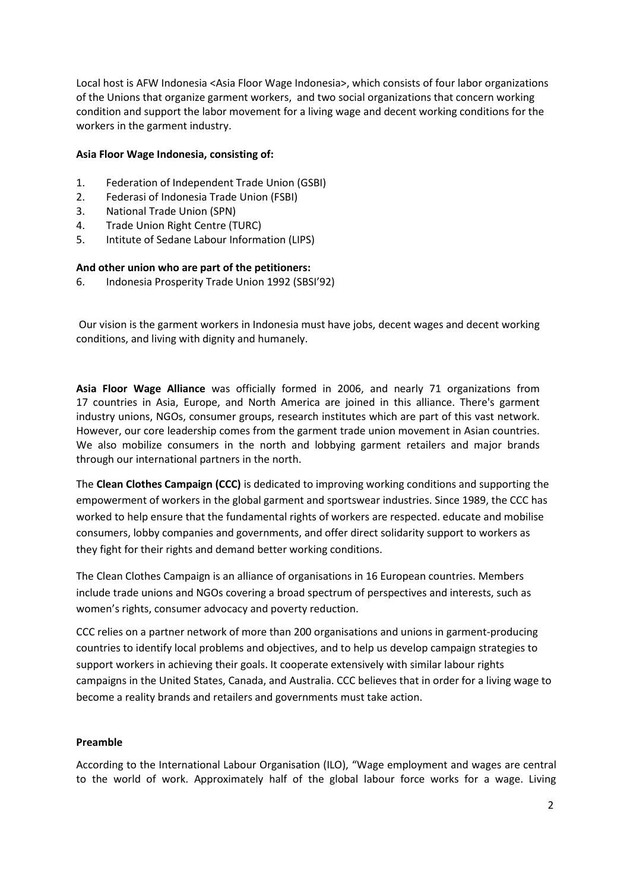Local host is AFW Indonesia <Asia Floor Wage Indonesia>, which consists of four labor organizations of the Unions that organize garment workers, and two social organizations that concern working condition and support the labor movement for a living wage and decent working conditions for the workers in the garment industry.

#### **Asia Floor Wage Indonesia, consisting of:**

- 1. Federation of Independent Trade Union (GSBI)
- 2. Federasi of Indonesia Trade Union (FSBI)
- 3. National Trade Union (SPN)
- 4. Trade Union Right Centre (TURC)
- 5. Intitute of Sedane Labour Information (LIPS)

### **And other union who are part of the petitioners:**

6. Indonesia Prosperity Trade Union 1992 (SBSI'92)

Our vision is the garment workers in Indonesia must have jobs, decent wages and decent working conditions, and living with dignity and humanely.

**Asia Floor Wage Alliance** was officially formed in 2006, and nearly 71 organizations from 17 countries in Asia, Europe, and North America are joined in this alliance. There's garment industry unions, NGOs, consumer groups, research institutes which are part of this vast network. However, our core leadership comes from the garment trade union movement in Asian countries. We also mobilize consumers in the north and lobbying garment retailers and major brands through our international partners in the north.

The **Clean Clothes Campaign (CCC)** is dedicated to improving working conditions and supporting the empowerment of workers in the global garment and sportswear industries. Since 1989, the CCC has worked to help ensure that the fundamental rights of workers are respected. educate and mobilise consumers, lobby companies and governments, and offer direct solidarity support to workers as they fight for their rights and demand better working conditions.

The Clean Clothes Campaign is an alliance of organisations in 16 European countries. Members include trade unions and NGOs covering a broad spectrum of perspectives and interests, such as women's rights, consumer advocacy and poverty reduction.

CCC relies on a partner network of more than 200 organisations and unions in garment-producing countries to identify local problems and objectives, and to help us develop campaign strategies to support workers in achieving their goals. It cooperate extensively with similar labour rights campaigns in the United States, Canada, and Australia. CCC believes that in order for a living wage to become a reality brands and retailers and governments must take action.

### **Preamble**

According to the International Labour Organisation (ILO), "Wage employment and wages are central to the world of work. Approximately half of the global labour force works for a wage. Living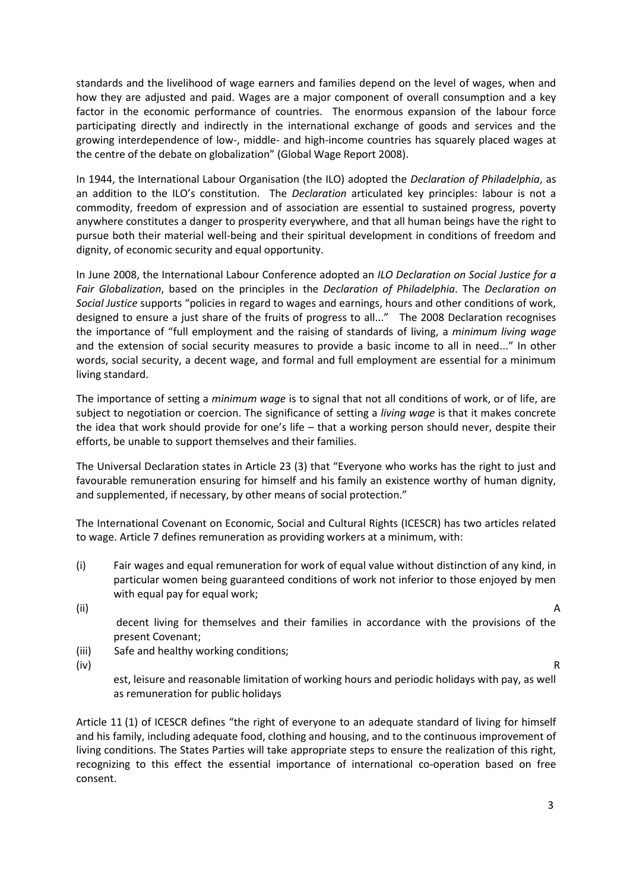standards and the livelihood of wage earners and families depend on the level of wages, when and how they are adjusted and paid. Wages are a major component of overall consumption and a key factor in the economic performance of countries. The enormous expansion of the labour force participating directly and indirectly in the international exchange of goods and services and the growing interdependence of low-, middle- and high-income countries has squarely placed wages at the centre of the debate on globalization" (Global Wage Report 2008).

In 1944, the International Labour Organisation (the ILO) adopted the *Declaration of Philadelphia*, as an addition to the ILO's constitution. The *Declaration* articulated key principles: labour is not a commodity, freedom of expression and of association are essential to sustained progress, poverty anywhere constitutes a danger to prosperity everywhere, and that all human beings have the right to pursue both their material well-being and their spiritual development in conditions of freedom and dignity, of economic security and equal opportunity.

In June 2008, the International Labour Conference adopted an *ILO Declaration on Social Justice for a Fair Globalization*, based on the principles in the *Declaration of Philadelphia*. The *Declaration on Social Justice* supports "policies in regard to wages and earnings, hours and other conditions of work, designed to ensure a just share of the fruits of progress to all..." The 2008 Declaration recognises the importance of "full employment and the raising of standards of living, a *minimum living wage* and the extension of social security measures to provide a basic income to all in need..." In other words, social security, a decent wage, and formal and full employment are essential for a minimum living standard.

The importance of setting a *minimum wage* is to signal that not all conditions of work, or of life, are subject to negotiation or coercion. The significance of setting a *living wage* is that it makes concrete the idea that work should provide for one's life – that a working person should never, despite their efforts, be unable to support themselves and their families.

The Universal Declaration states in Article 23 (3) that "Everyone who works has the right to just and favourable remuneration ensuring for himself and his family an existence worthy of human dignity, and supplemented, if necessary, by other means of social protection."

The International Covenant on Economic, Social and Cultural Rights (ICESCR) has two articles related to wage. Article 7 defines remuneration as providing workers at a minimum, with:

(i) Fair wages and equal remuneration for work of equal value without distinction of any kind, in particular women being guaranteed conditions of work not inferior to those enjoyed by men with equal pay for equal work;

- (ii) A decent living for themselves and their families in accordance with the provisions of the present Covenant;
- (iii) Safe and healthy working conditions;

(iv) R

est, leisure and reasonable limitation of working hours and periodic holidays with pay, as well as remuneration for public holidays

Article 11 (1) of ICESCR defines "the right of everyone to an adequate standard of living for himself and his family, including adequate food, clothing and housing, and to the continuous improvement of living conditions. The States Parties will take appropriate steps to ensure the realization of this right, recognizing to this effect the essential importance of international co-operation based on free consent.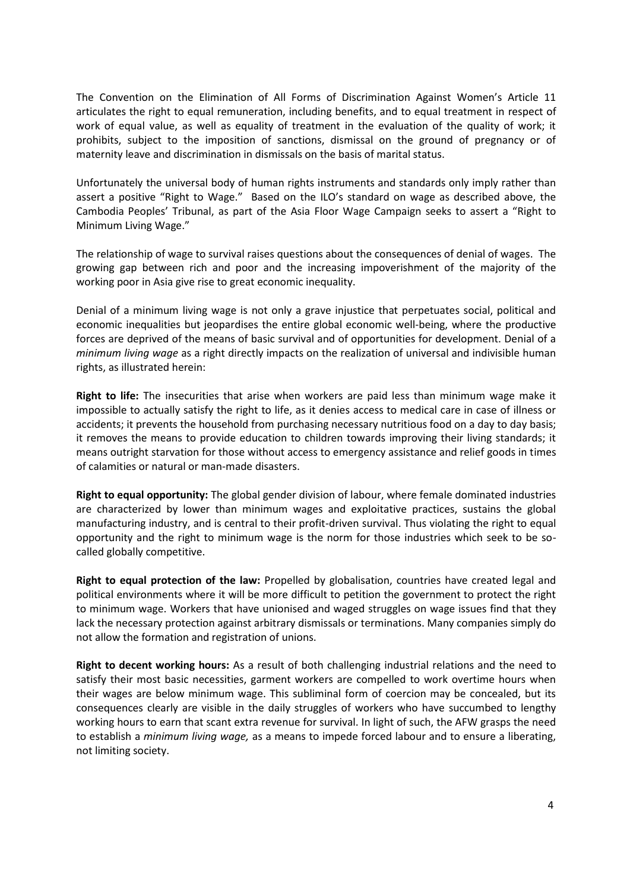The Convention on the Elimination of All Forms of Discrimination Against Women's Article 11 articulates the right to equal remuneration, including benefits, and to equal treatment in respect of work of equal value, as well as equality of treatment in the evaluation of the quality of work; it prohibits, subject to the imposition of sanctions, dismissal on the ground of pregnancy or of maternity leave and discrimination in dismissals on the basis of marital status.

Unfortunately the universal body of human rights instruments and standards only imply rather than assert a positive "Right to Wage." Based on the ILO's standard on wage as described above, the Cambodia Peoples' Tribunal, as part of the Asia Floor Wage Campaign seeks to assert a "Right to Minimum Living Wage."

The relationship of wage to survival raises questions about the consequences of denial of wages. The growing gap between rich and poor and the increasing impoverishment of the majority of the working poor in Asia give rise to great economic inequality.

Denial of a minimum living wage is not only a grave injustice that perpetuates social, political and economic inequalities but jeopardises the entire global economic well-being, where the productive forces are deprived of the means of basic survival and of opportunities for development. Denial of a *minimum living wage* as a right directly impacts on the realization of universal and indivisible human rights, as illustrated herein:

**Right to life:** The insecurities that arise when workers are paid less than minimum wage make it impossible to actually satisfy the right to life, as it denies access to medical care in case of illness or accidents; it prevents the household from purchasing necessary nutritious food on a day to day basis; it removes the means to provide education to children towards improving their living standards; it means outright starvation for those without access to emergency assistance and relief goods in times of calamities or natural or man-made disasters.

**Right to equal opportunity:** The global gender division of labour, where female dominated industries are characterized by lower than minimum wages and exploitative practices, sustains the global manufacturing industry, and is central to their profit-driven survival. Thus violating the right to equal opportunity and the right to minimum wage is the norm for those industries which seek to be socalled globally competitive.

**Right to equal protection of the law:** Propelled by globalisation, countries have created legal and political environments where it will be more difficult to petition the government to protect the right to minimum wage. Workers that have unionised and waged struggles on wage issues find that they lack the necessary protection against arbitrary dismissals or terminations. Many companies simply do not allow the formation and registration of unions.

**Right to decent working hours:** As a result of both challenging industrial relations and the need to satisfy their most basic necessities, garment workers are compelled to work overtime hours when their wages are below minimum wage. This subliminal form of coercion may be concealed, but its consequences clearly are visible in the daily struggles of workers who have succumbed to lengthy working hours to earn that scant extra revenue for survival. In light of such, the AFW grasps the need to establish a *minimum living wage,* as a means to impede forced labour and to ensure a liberating, not limiting society.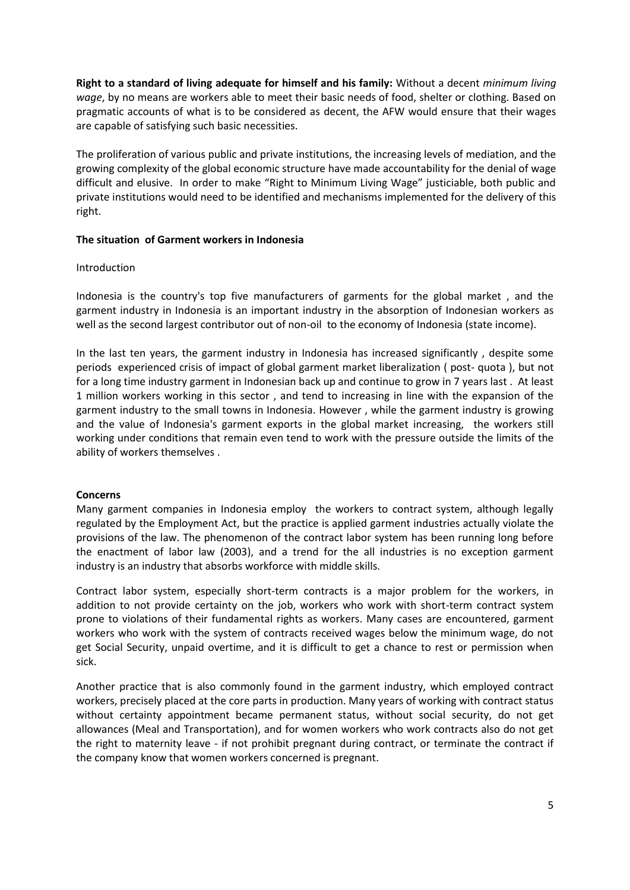**Right to a standard of living adequate for himself and his family:** Without a decent *minimum living wage*, by no means are workers able to meet their basic needs of food, shelter or clothing. Based on pragmatic accounts of what is to be considered as decent, the AFW would ensure that their wages are capable of satisfying such basic necessities.

The proliferation of various public and private institutions, the increasing levels of mediation, and the growing complexity of the global economic structure have made accountability for the denial of wage difficult and elusive. In order to make "Right to Minimum Living Wage" justiciable, both public and private institutions would need to be identified and mechanisms implemented for the delivery of this right.

### **The situation of Garment workers in Indonesia**

#### Introduction

Indonesia is the country's top five manufacturers of garments for the global market , and the garment industry in Indonesia is an important industry in the absorption of Indonesian workers as well as the second largest contributor out of non-oil to the economy of Indonesia (state income).

In the last ten years, the garment industry in Indonesia has increased significantly , despite some periods experienced crisis of impact of global garment market liberalization ( post- quota ), but not for a long time industry garment in Indonesian back up and continue to grow in 7 years last . At least 1 million workers working in this sector , and tend to increasing in line with the expansion of the garment industry to the small towns in Indonesia. However , while the garment industry is growing and the value of Indonesia's garment exports in the global market increasing, the workers still working under conditions that remain even tend to work with the pressure outside the limits of the ability of workers themselves .

### **Concerns**

Many garment companies in Indonesia employ the workers to contract system, although legally regulated by the Employment Act, but the practice is applied garment industries actually violate the provisions of the law. The phenomenon of the contract labor system has been running long before the enactment of labor law (2003), and a trend for the all industries is no exception garment industry is an industry that absorbs workforce with middle skills.

Contract labor system, especially short-term contracts is a major problem for the workers, in addition to not provide certainty on the job, workers who work with short-term contract system prone to violations of their fundamental rights as workers. Many cases are encountered, garment workers who work with the system of contracts received wages below the minimum wage, do not get Social Security, unpaid overtime, and it is difficult to get a chance to rest or permission when sick.

Another practice that is also commonly found in the garment industry, which employed contract workers, precisely placed at the core parts in production. Many years of working with contract status without certainty appointment became permanent status, without social security, do not get allowances (Meal and Transportation), and for women workers who work contracts also do not get the right to maternity leave - if not prohibit pregnant during contract, or terminate the contract if the company know that women workers concerned is pregnant.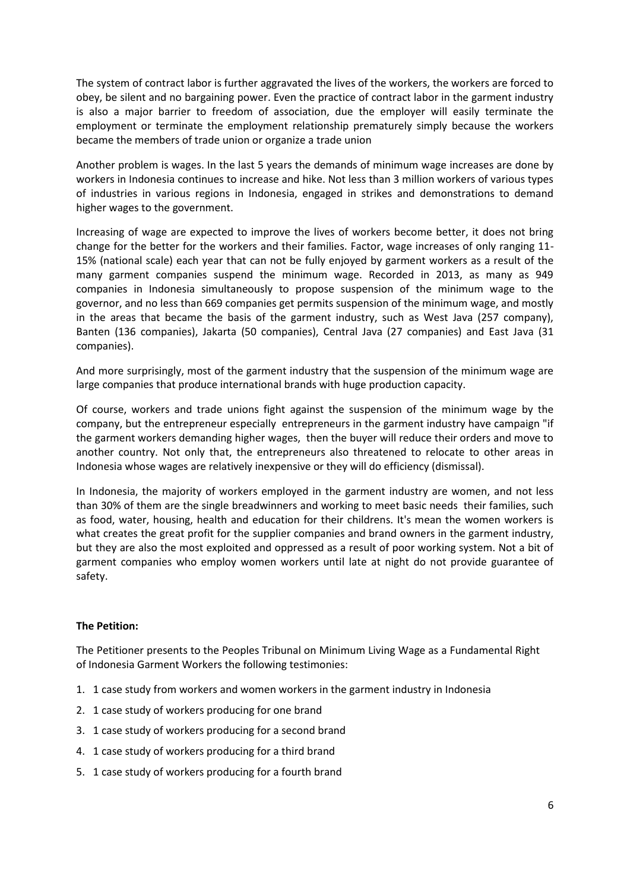The system of contract labor is further aggravated the lives of the workers, the workers are forced to obey, be silent and no bargaining power. Even the practice of contract labor in the garment industry is also a major barrier to freedom of association, due the employer will easily terminate the employment or terminate the employment relationship prematurely simply because the workers became the members of trade union or organize a trade union

Another problem is wages. In the last 5 years the demands of minimum wage increases are done by workers in Indonesia continues to increase and hike. Not less than 3 million workers of various types of industries in various regions in Indonesia, engaged in strikes and demonstrations to demand higher wages to the government.

Increasing of wage are expected to improve the lives of workers become better, it does not bring change for the better for the workers and their families. Factor, wage increases of only ranging 11- 15% (national scale) each year that can not be fully enjoyed by garment workers as a result of the many garment companies suspend the minimum wage. Recorded in 2013, as many as 949 companies in Indonesia simultaneously to propose suspension of the minimum wage to the governor, and no less than 669 companies get permits suspension of the minimum wage, and mostly in the areas that became the basis of the garment industry, such as West Java (257 company), Banten (136 companies), Jakarta (50 companies), Central Java (27 companies) and East Java (31 companies).

And more surprisingly, most of the garment industry that the suspension of the minimum wage are large companies that produce international brands with huge production capacity.

Of course, workers and trade unions fight against the suspension of the minimum wage by the company, but the entrepreneur especially entrepreneurs in the garment industry have campaign "if the garment workers demanding higher wages, then the buyer will reduce their orders and move to another country. Not only that, the entrepreneurs also threatened to relocate to other areas in Indonesia whose wages are relatively inexpensive or they will do efficiency (dismissal).

In Indonesia, the majority of workers employed in the garment industry are women, and not less than 30% of them are the single breadwinners and working to meet basic needs their families, such as food, water, housing, health and education for their childrens. It's mean the women workers is what creates the great profit for the supplier companies and brand owners in the garment industry, but they are also the most exploited and oppressed as a result of poor working system. Not a bit of garment companies who employ women workers until late at night do not provide guarantee of safety.

### **The Petition:**

The Petitioner presents to the Peoples Tribunal on Minimum Living Wage as a Fundamental Right of Indonesia Garment Workers the following testimonies:

- 1. 1 case study from workers and women workers in the garment industry in Indonesia
- 2. 1 case study of workers producing for one brand
- 3. 1 case study of workers producing for a second brand
- 4. 1 case study of workers producing for a third brand
- 5. 1 case study of workers producing for a fourth brand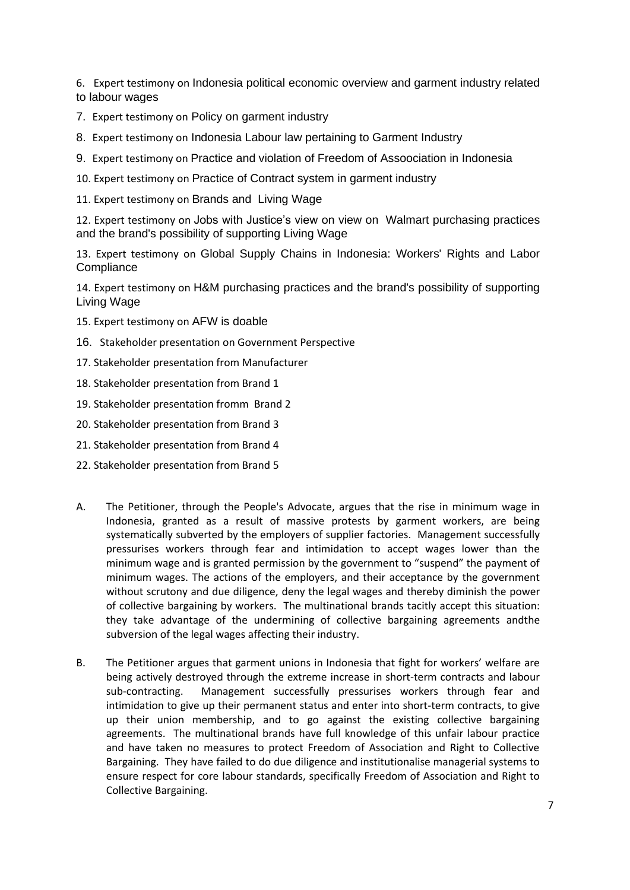6. Expert testimony on Indonesia political economic overview and garment industry related to labour wages

- 7. Expert testimony on Policy on garment industry
- 8. Expert testimony on Indonesia Labour law pertaining to Garment Industry
- 9. Expert testimony on Practice and violation of Freedom of Assoociation in Indonesia
- 10. Expert testimony on Practice of Contract system in garment industry
- 11. Expert testimony on Brands and Living Wage

12. Expert testimony on Jobs with Justice's view on view on Walmart purchasing practices and the brand's possibility of supporting Living Wage

13. Expert testimony on Global Supply Chains in Indonesia: Workers' Rights and Labor **Compliance** 

14. Expert testimony on H&M purchasing practices and the brand's possibility of supporting Living Wage

- 15. Expert testimony on AFW is doable
- 16. Stakeholder presentation on Government Perspective
- 17. Stakeholder presentation from Manufacturer
- 18. Stakeholder presentation from Brand 1
- 19. Stakeholder presentation fromm Brand 2
- 20. Stakeholder presentation from Brand 3
- 21. Stakeholder presentation from Brand 4
- 22. Stakeholder presentation from Brand 5
- A. The Petitioner, through the People's Advocate, argues that the rise in minimum wage in Indonesia, granted as a result of massive protests by garment workers, are being systematically subverted by the employers of supplier factories. Management successfully pressurises workers through fear and intimidation to accept wages lower than the minimum wage and is granted permission by the government to "suspend" the payment of minimum wages. The actions of the employers, and their acceptance by the government without scrutony and due diligence, deny the legal wages and thereby diminish the power of collective bargaining by workers. The multinational brands tacitly accept this situation: they take advantage of the undermining of collective bargaining agreements andthe subversion of the legal wages affecting their industry.
- B. The Petitioner argues that garment unions in Indonesia that fight for workers' welfare are being actively destroyed through the extreme increase in short-term contracts and labour sub-contracting. Management successfully pressurises workers through fear and intimidation to give up their permanent status and enter into short-term contracts, to give up their union membership, and to go against the existing collective bargaining agreements. The multinational brands have full knowledge of this unfair labour practice and have taken no measures to protect Freedom of Association and Right to Collective Bargaining. They have failed to do due diligence and institutionalise managerial systems to ensure respect for core labour standards, specifically Freedom of Association and Right to Collective Bargaining.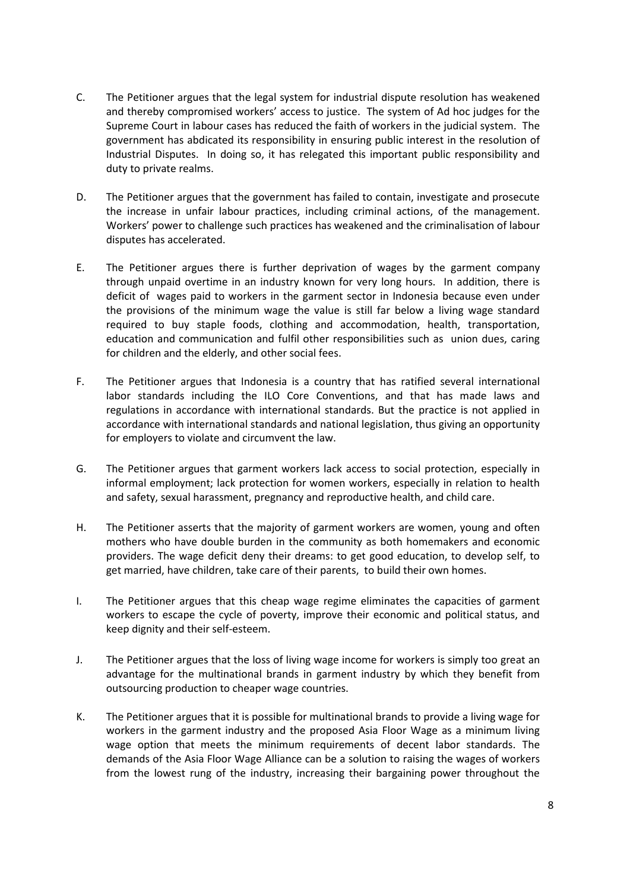- C. The Petitioner argues that the legal system for industrial dispute resolution has weakened and thereby compromised workers' access to justice. The system of Ad hoc judges for the Supreme Court in labour cases has reduced the faith of workers in the judicial system. The government has abdicated its responsibility in ensuring public interest in the resolution of Industrial Disputes. In doing so, it has relegated this important public responsibility and duty to private realms.
- D. The Petitioner argues that the government has failed to contain, investigate and prosecute the increase in unfair labour practices, including criminal actions, of the management. Workers' power to challenge such practices has weakened and the criminalisation of labour disputes has accelerated.
- E. The Petitioner argues there is further deprivation of wages by the garment company through unpaid overtime in an industry known for very long hours. In addition, there is deficit of wages paid to workers in the garment sector in Indonesia because even under the provisions of the minimum wage the value is still far below a living wage standard required to buy staple foods, clothing and accommodation, health, transportation, education and communication and fulfil other responsibilities such as union dues, caring for children and the elderly, and other social fees.
- F. The Petitioner argues that Indonesia is a country that has ratified several international labor standards including the ILO Core Conventions, and that has made laws and regulations in accordance with international standards. But the practice is not applied in accordance with international standards and national legislation, thus giving an opportunity for employers to violate and circumvent the law.
- G. The Petitioner argues that garment workers lack access to social protection, especially in informal employment; lack protection for women workers, especially in relation to health and safety, sexual harassment, pregnancy and reproductive health, and child care.
- H. The Petitioner asserts that the majority of garment workers are women, young and often mothers who have double burden in the community as both homemakers and economic providers. The wage deficit deny their dreams: to get good education, to develop self, to get married, have children, take care of their parents, to build their own homes.
- I. The Petitioner argues that this cheap wage regime eliminates the capacities of garment workers to escape the cycle of poverty, improve their economic and political status, and keep dignity and their self-esteem.
- J. The Petitioner argues that the loss of living wage income for workers is simply too great an advantage for the multinational brands in garment industry by which they benefit from outsourcing production to cheaper wage countries.
- K. The Petitioner argues that it is possible for multinational brands to provide a living wage for workers in the garment industry and the proposed Asia Floor Wage as a minimum living wage option that meets the minimum requirements of decent labor standards. The demands of the Asia Floor Wage Alliance can be a solution to raising the wages of workers from the lowest rung of the industry, increasing their bargaining power throughout the